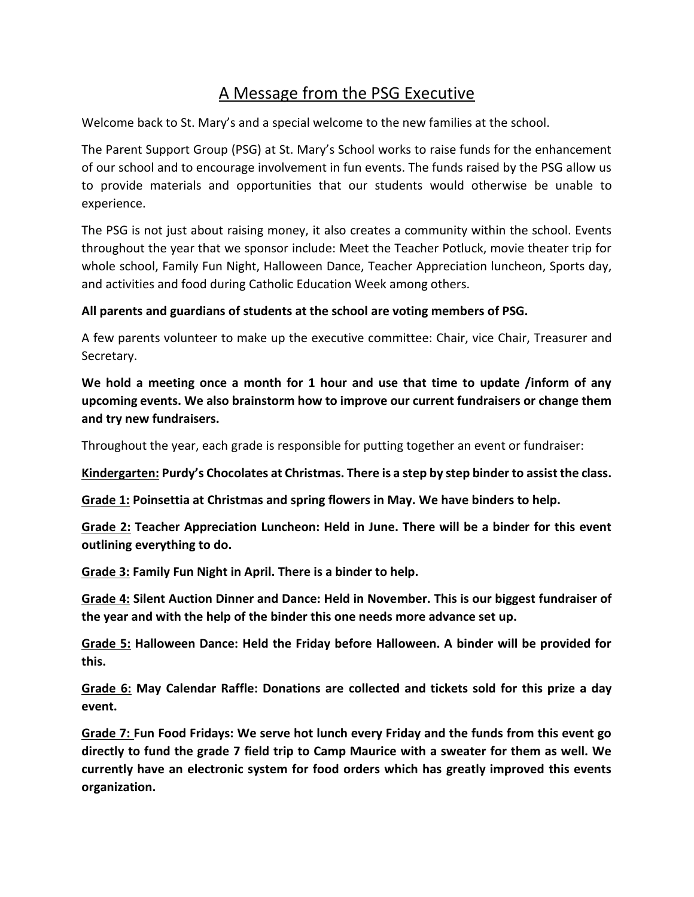## A Message from the PSG Executive

Welcome back to St. Mary's and a special welcome to the new families at the school.

The Parent Support Group (PSG) at St. Mary's School works to raise funds for the enhancement of our school and to encourage involvement in fun events. The funds raised by the PSG allow us to provide materials and opportunities that our students would otherwise be unable to experience.

The PSG is not just about raising money, it also creates a community within the school. Events throughout the year that we sponsor include: Meet the Teacher Potluck, movie theater trip for whole school, Family Fun Night, Halloween Dance, Teacher Appreciation luncheon, Sports day, and activities and food during Catholic Education Week among others.

## **All parents and guardians of students at the school are voting members of PSG.**

A few parents volunteer to make up the executive committee: Chair, vice Chair, Treasurer and Secretary.

**We hold a meeting once a month for 1 hour and use that time to update /inform of any upcoming events. We also brainstorm how to improve our current fundraisers or change them and try new fundraisers.** 

Throughout the year, each grade is responsible for putting together an event or fundraiser:

**Kindergarten: Purdy's Chocolates at Christmas. There is a step by step binder to assist the class.**

**Grade 1: Poinsettia at Christmas and spring flowers in May. We have binders to help.**

**Grade 2: Teacher Appreciation Luncheon: Held in June. There will be a binder for this event outlining everything to do.**

**Grade 3: Family Fun Night in April. There is a binder to help.**

**Grade 4: Silent Auction Dinner and Dance: Held in November. This is our biggest fundraiser of the year and with the help of the binder this one needs more advance set up.**

**Grade 5: Halloween Dance: Held the Friday before Halloween. A binder will be provided for this.**

**Grade 6: May Calendar Raffle: Donations are collected and tickets sold for this prize a day event.**

**Grade 7: Fun Food Fridays: We serve hot lunch every Friday and the funds from this event go directly to fund the grade 7 field trip to Camp Maurice with a sweater for them as well. We currently have an electronic system for food orders which has greatly improved this events organization.**